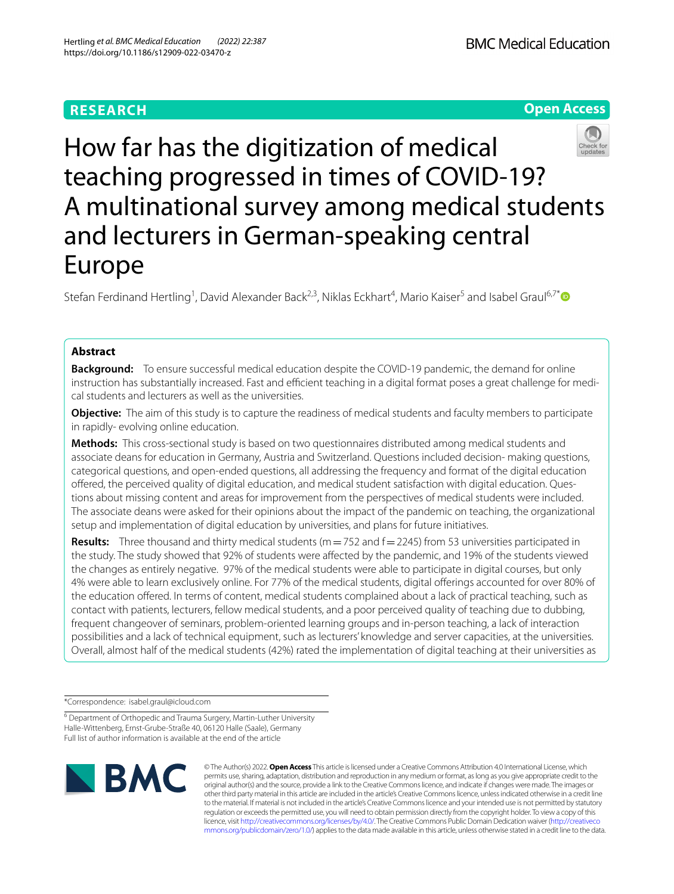## **RESEARCH**



# How far has the digitization of medical teaching progressed in times of COVID-19? A multinational survey among medical students and lecturers in German-speaking central Europe

Stefan Ferdinand Hertling<sup>1</sup>, David Alexander Back<sup>2,3</sup>, Niklas Eckhart<sup>4</sup>, Mario Kaiser<sup>5</sup> and Isabel Graul<sup>6,7\*</sup><sup>0</sup>

### **Abstract**

**Background:** To ensure successful medical education despite the COVID-19 pandemic, the demand for online instruction has substantially increased. Fast and efficient teaching in a digital format poses a great challenge for medical students and lecturers as well as the universities.

**Objective:** The aim of this study is to capture the readiness of medical students and faculty members to participate in rapidly- evolving online education.

**Methods:** This cross-sectional study is based on two questionnaires distributed among medical students and associate deans for education in Germany, Austria and Switzerland. Questions included decision- making questions, categorical questions, and open-ended questions, all addressing the frequency and format of the digital education ofered, the perceived quality of digital education, and medical student satisfaction with digital education. Questions about missing content and areas for improvement from the perspectives of medical students were included. The associate deans were asked for their opinions about the impact of the pandemic on teaching, the organizational setup and implementation of digital education by universities, and plans for future initiatives.

**Results:** Three thousand and thirty medical students (m = 752 and f = 2245) from 53 universities participated in the study. The study showed that 92% of students were afected by the pandemic, and 19% of the students viewed the changes as entirely negative. 97% of the medical students were able to participate in digital courses, but only 4% were able to learn exclusively online. For 77% of the medical students, digital offerings accounted for over 80% of the education ofered. In terms of content, medical students complained about a lack of practical teaching, such as contact with patients, lecturers, fellow medical students, and a poor perceived quality of teaching due to dubbing, frequent changeover of seminars, problem-oriented learning groups and in-person teaching, a lack of interaction possibilities and a lack of technical equipment, such as lecturers' knowledge and server capacities, at the universities. Overall, almost half of the medical students (42%) rated the implementation of digital teaching at their universities as

\*Correspondence: isabel.graul@icloud.com

<sup>6</sup> Department of Orthopedic and Trauma Surgery, Martin-Luther University Halle-Wittenberg, Ernst-Grube-Straße 40, 06120 Halle (Saale), Germany Full list of author information is available at the end of the article



© The Author(s) 2022. **Open Access** This article is licensed under a Creative Commons Attribution 4.0 International License, which permits use, sharing, adaptation, distribution and reproduction in any medium or format, as long as you give appropriate credit to the original author(s) and the source, provide a link to the Creative Commons licence, and indicate if changes were made. The images or other third party material in this article are included in the article's Creative Commons licence, unless indicated otherwise in a credit line to the material. If material is not included in the article's Creative Commons licence and your intended use is not permitted by statutory regulation or exceeds the permitted use, you will need to obtain permission directly from the copyright holder. To view a copy of this licence, visit [http://creativecommons.org/licenses/by/4.0/.](http://creativecommons.org/licenses/by/4.0/) The Creative Commons Public Domain Dedication waiver ([http://creativeco](http://creativecommons.org/publicdomain/zero/1.0/) [mmons.org/publicdomain/zero/1.0/](http://creativecommons.org/publicdomain/zero/1.0/)) applies to the data made available in this article, unless otherwise stated in a credit line to the data.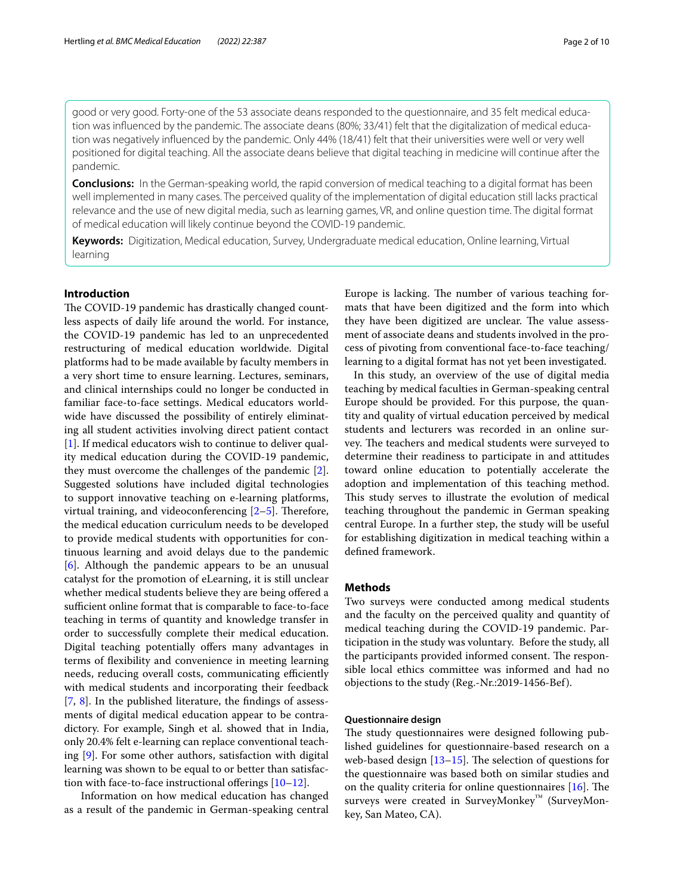good or very good. Forty-one of the 53 associate deans responded to the questionnaire, and 35 felt medical education was infuenced by the pandemic. The associate deans (80%; 33/41) felt that the digitalization of medical education was negatively infuenced by the pandemic. Only 44% (18/41) felt that their universities were well or very well positioned for digital teaching. All the associate deans believe that digital teaching in medicine will continue after the pandemic.

**Conclusions:** In the German-speaking world, the rapid conversion of medical teaching to a digital format has been well implemented in many cases. The perceived quality of the implementation of digital education still lacks practical relevance and the use of new digital media, such as learning games, VR, and online question time. The digital format of medical education will likely continue beyond the COVID-19 pandemic.

**Keywords:** Digitization, Medical education, Survey, Undergraduate medical education, Online learning, Virtual learning

#### **Introduction**

The COVID-19 pandemic has drastically changed countless aspects of daily life around the world. For instance, the COVID-19 pandemic has led to an unprecedented restructuring of medical education worldwide. Digital platforms had to be made available by faculty members in a very short time to ensure learning. Lectures, seminars, and clinical internships could no longer be conducted in familiar face-to-face settings. Medical educators worldwide have discussed the possibility of entirely eliminating all student activities involving direct patient contact [[1\]](#page-8-0). If medical educators wish to continue to deliver quality medical education during the COVID-19 pandemic, they must overcome the challenges of the pandemic [\[2](#page-8-1)]. Suggested solutions have included digital technologies to support innovative teaching on e-learning platforms, virtual training, and videoconferencing  $[2-5]$  $[2-5]$ . Therefore, the medical education curriculum needs to be developed to provide medical students with opportunities for continuous learning and avoid delays due to the pandemic [[6\]](#page-8-3). Although the pandemic appears to be an unusual catalyst for the promotion of eLearning, it is still unclear whether medical students believe they are being offered a sufficient online format that is comparable to face-to-face teaching in terms of quantity and knowledge transfer in order to successfully complete their medical education. Digital teaching potentially offers many advantages in terms of fexibility and convenience in meeting learning needs, reducing overall costs, communicating efficiently with medical students and incorporating their feedback [[7,](#page-8-4) [8](#page-8-5)]. In the published literature, the fndings of assessments of digital medical education appear to be contradictory. For example, Singh et al. showed that in India, only 20.4% felt e-learning can replace conventional teaching [[9\]](#page-8-6). For some other authors, satisfaction with digital learning was shown to be equal to or better than satisfaction with face-to-face instructional offerings  $[10-12]$  $[10-12]$ .

 Information on how medical education has changed as a result of the pandemic in German-speaking central Europe is lacking. The number of various teaching formats that have been digitized and the form into which they have been digitized are unclear. The value assessment of associate deans and students involved in the process of pivoting from conventional face-to-face teaching/ learning to a digital format has not yet been investigated.

In this study, an overview of the use of digital media teaching by medical faculties in German-speaking central Europe should be provided. For this purpose, the quantity and quality of virtual education perceived by medical students and lecturers was recorded in an online survey. The teachers and medical students were surveyed to determine their readiness to participate in and attitudes toward online education to potentially accelerate the adoption and implementation of this teaching method. This study serves to illustrate the evolution of medical teaching throughout the pandemic in German speaking central Europe. In a further step, the study will be useful for establishing digitization in medical teaching within a defned framework.

#### **Methods**

Two surveys were conducted among medical students and the faculty on the perceived quality and quantity of medical teaching during the COVID-19 pandemic. Participation in the study was voluntary. Before the study, all the participants provided informed consent. The responsible local ethics committee was informed and had no objections to the study (Reg.-Nr.:2019-1456-Bef).

#### **Questionnaire design**

The study questionnaires were designed following published guidelines for questionnaire-based research on a web-based design  $[13-15]$  $[13-15]$ . The selection of questions for the questionnaire was based both on similar studies and on the quality criteria for online questionnaires  $[16]$  $[16]$ . The surveys were created in SurveyMonkey™ (SurveyMonkey, San Mateo, CA).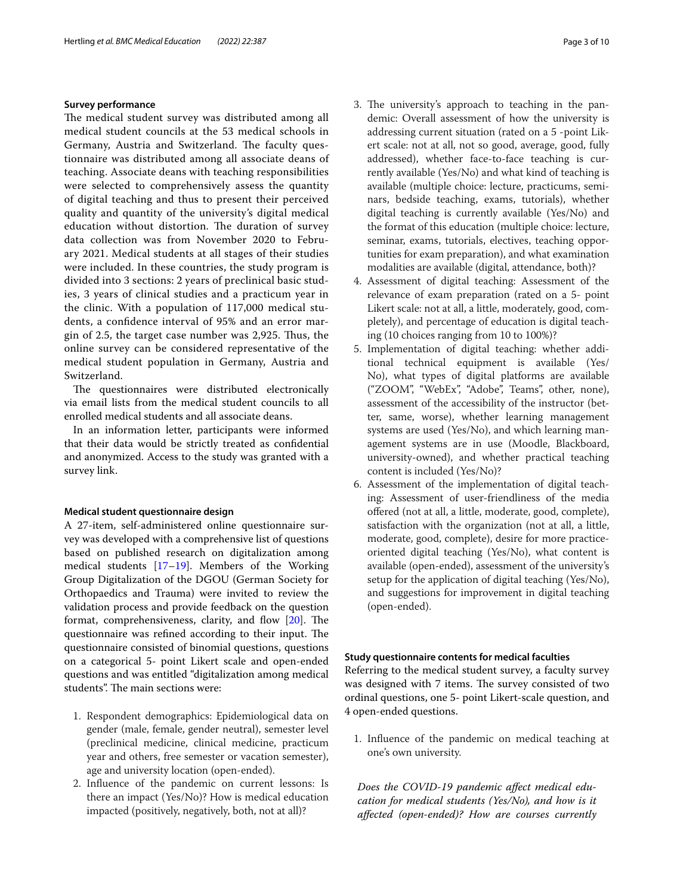#### **Survey performance**

The medical student survey was distributed among all medical student councils at the 53 medical schools in Germany, Austria and Switzerland. The faculty questionnaire was distributed among all associate deans of teaching. Associate deans with teaching responsibilities were selected to comprehensively assess the quantity of digital teaching and thus to present their perceived quality and quantity of the university's digital medical education without distortion. The duration of survey data collection was from November 2020 to February 2021. Medical students at all stages of their studies were included. In these countries, the study program is divided into 3 sections: 2 years of preclinical basic studies, 3 years of clinical studies and a practicum year in the clinic. With a population of 117,000 medical students, a confdence interval of 95% and an error margin of 2.5, the target case number was 2,925. Thus, the online survey can be considered representative of the medical student population in Germany, Austria and Switzerland.

The questionnaires were distributed electronically via email lists from the medical student councils to all enrolled medical students and all associate deans.

In an information letter, participants were informed that their data would be strictly treated as confdential and anonymized. Access to the study was granted with a survey link.

#### **Medical student questionnaire design**

A 27-item, self-administered online questionnaire survey was developed with a comprehensive list of questions based on published research on digitalization among medical students [[17–](#page-8-12)[19\]](#page-8-13). Members of the Working Group Digitalization of the DGOU (German Society for Orthopaedics and Trauma) were invited to review the validation process and provide feedback on the question format, comprehensiveness, clarity, and flow  $[20]$  $[20]$ . The questionnaire was refined according to their input. The questionnaire consisted of binomial questions, questions on a categorical 5- point Likert scale and open-ended questions and was entitled "digitalization among medical students". The main sections were:

- 1. Respondent demographics: Epidemiological data on gender (male, female, gender neutral), semester level (preclinical medicine, clinical medicine, practicum year and others, free semester or vacation semester), age and university location (open-ended).
- 2. Infuence of the pandemic on current lessons: Is there an impact (Yes/No)? How is medical education impacted (positively, negatively, both, not at all)?
- 3. The university's approach to teaching in the pandemic: Overall assessment of how the university is addressing current situation (rated on a 5 -point Likert scale: not at all, not so good, average, good, fully addressed), whether face-to-face teaching is currently available (Yes/No) and what kind of teaching is available (multiple choice: lecture, practicums, seminars, bedside teaching, exams, tutorials), whether digital teaching is currently available (Yes/No) and the format of this education (multiple choice: lecture, seminar, exams, tutorials, electives, teaching opportunities for exam preparation), and what examination modalities are available (digital, attendance, both)?
- 4. Assessment of digital teaching: Assessment of the relevance of exam preparation (rated on a 5- point Likert scale: not at all, a little, moderately, good, completely), and percentage of education is digital teaching (10 choices ranging from 10 to 100%)?
- 5. Implementation of digital teaching: whether additional technical equipment is available (Yes/ No), what types of digital platforms are available ("ZOOM", "WebEx", "Adobe", Teams", other, none), assessment of the accessibility of the instructor (better, same, worse), whether learning management systems are used (Yes/No), and which learning management systems are in use (Moodle, Blackboard, university-owned), and whether practical teaching content is included (Yes/No)?
- 6. Assessment of the implementation of digital teaching: Assessment of user-friendliness of the media ofered (not at all, a little, moderate, good, complete), satisfaction with the organization (not at all, a little, moderate, good, complete), desire for more practiceoriented digital teaching (Yes/No), what content is available (open-ended), assessment of the university's setup for the application of digital teaching (Yes/No), and suggestions for improvement in digital teaching (open-ended).

#### **Study questionnaire contents for medical faculties**

Referring to the medical student survey, a faculty survey was designed with 7 items. The survey consisted of two ordinal questions, one 5- point Likert-scale question, and 4 open-ended questions.

1. Infuence of the pandemic on medical teaching at one's own university.

*Does the COVID-19 pandemic afect medical education for medical students (Yes/No), and how is it afected (open-ended)? How are courses currently*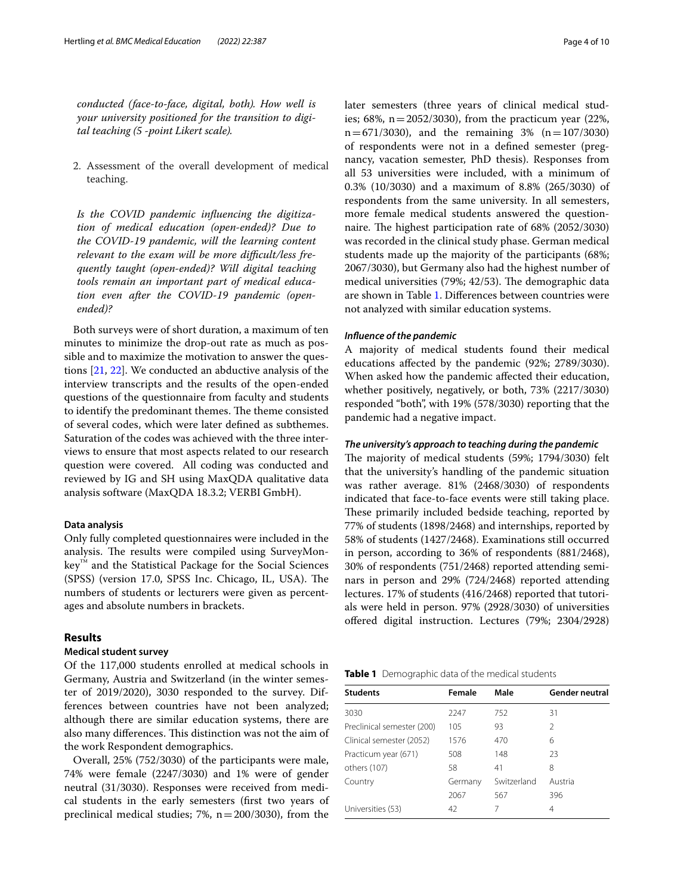*conducted (face-to-face, digital, both). How well is your university positioned for the transition to digital teaching (5 -point Likert scale).*

2. Assessment of the overall development of medical teaching.

*Is the COVID pandemic infuencing the digitization of medical education (open-ended)? Due to the COVID-19 pandemic, will the learning content*  relevant to the exam will be more difficult/less fre*quently taught (open-ended)? Will digital teaching tools remain an important part of medical education even after the COVID-19 pandemic (openended)?*

Both surveys were of short duration, a maximum of ten minutes to minimize the drop-out rate as much as possible and to maximize the motivation to answer the questions [[21,](#page-8-15) [22](#page-8-16)]. We conducted an abductive analysis of the interview transcripts and the results of the open-ended questions of the questionnaire from faculty and students to identify the predominant themes. The theme consisted of several codes, which were later defned as subthemes. Saturation of the codes was achieved with the three interviews to ensure that most aspects related to our research question were covered. All coding was conducted and reviewed by IG and SH using MaxQDA qualitative data analysis software (MaxQDA 18.3.2; VERBI GmbH).

#### **Data analysis**

Only fully completed questionnaires were included in the analysis. The results were compiled using SurveyMonkey™ and the Statistical Package for the Social Sciences (SPSS) (version 17.0, SPSS Inc. Chicago, IL, USA). The numbers of students or lecturers were given as percentages and absolute numbers in brackets.

#### **Results**

#### **Medical student survey**

Of the 117,000 students enrolled at medical schools in Germany, Austria and Switzerland (in the winter semester of 2019/2020), 3030 responded to the survey. Differences between countries have not been analyzed; although there are similar education systems, there are also many differences. This distinction was not the aim of the work Respondent demographics.

Overall, 25% (752/3030) of the participants were male, 74% were female (2247/3030) and 1% were of gender neutral (31/3030). Responses were received from medical students in the early semesters (frst two years of preclinical medical studies; 7%,  $n=200/3030$ ), from the later semesters (three years of clinical medical studies; 68%,  $n = 2052/3030$ , from the practicum year (22%,  $n=671/3030$ , and the remaining 3% ( $n=107/3030$ ) of respondents were not in a defned semester (pregnancy, vacation semester, PhD thesis). Responses from all 53 universities were included, with a minimum of 0.3% (10/3030) and a maximum of 8.8% (265/3030) of respondents from the same university. In all semesters, more female medical students answered the questionnaire. The highest participation rate of 68% (2052/3030) was recorded in the clinical study phase. German medical students made up the majority of the participants (68%; 2067/3030), but Germany also had the highest number of medical universities (79%; 42/53). The demographic data are shown in Table [1.](#page-3-0) Diferences between countries were not analyzed with similar education systems.

#### *Infuence of the pandemic*

A majority of medical students found their medical educations afected by the pandemic (92%; 2789/3030). When asked how the pandemic afected their education, whether positively, negatively, or both, 73% (2217/3030) responded "both", with 19% (578/3030) reporting that the pandemic had a negative impact.

#### *The university's approach to teaching during the pandemic*

The majority of medical students (59%; 1794/3030) felt that the university's handling of the pandemic situation was rather average. 81% (2468/3030) of respondents indicated that face-to-face events were still taking place. These primarily included bedside teaching, reported by 77% of students (1898/2468) and internships, reported by 58% of students (1427/2468). Examinations still occurred in person, according to 36% of respondents (881/2468), 30% of respondents (751/2468) reported attending seminars in person and 29% (724/2468) reported attending lectures. 17% of students (416/2468) reported that tutorials were held in person. 97% (2928/3030) of universities offered digital instruction. Lectures (79%; 2304/2928)

<span id="page-3-0"></span>

| Table 1 Demographic data of the medical students |  |
|--------------------------------------------------|--|
|--------------------------------------------------|--|

| <b>Students</b>            | Female  | Male        | <b>Gender neutral</b> |
|----------------------------|---------|-------------|-----------------------|
| 3030                       | 2247    | 752         | 31                    |
| Preclinical semester (200) | 105     | 93          | 2                     |
| Clinical semester (2052)   | 1576    | 470         | 6                     |
| Practicum year (671)       | 508     | 148         | 23                    |
| others (107)               | 58      | 41          | 8                     |
| Country                    | Germany | Switzerland | Austria               |
|                            | 2067    | 567         | 396                   |
| Universities (53)          | 42      |             | 4                     |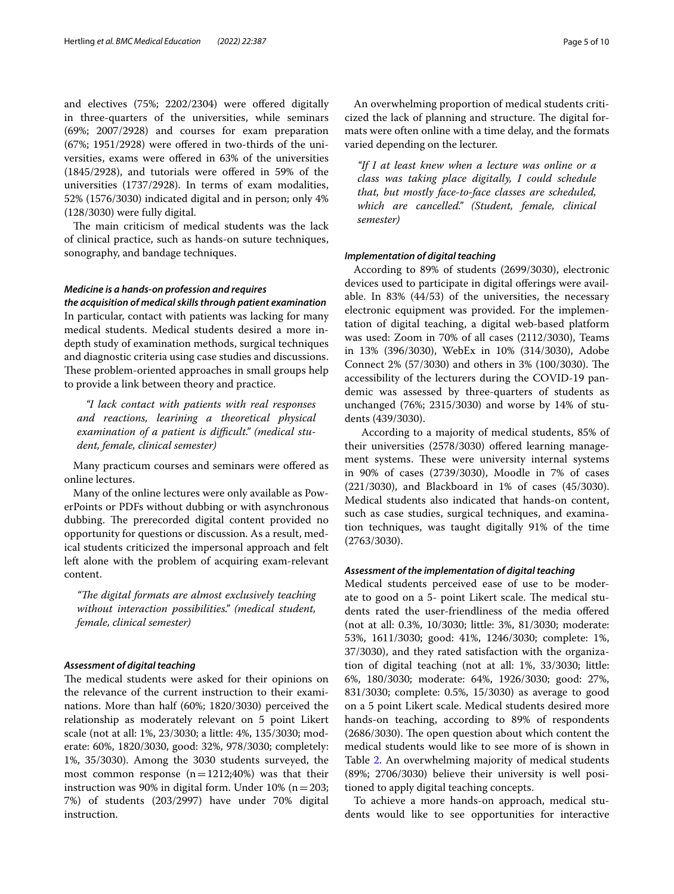and electives (75%; 2202/2304) were ofered digitally in three-quarters of the universities, while seminars (69%; 2007/2928) and courses for exam preparation  $(67\%; 1951/2928)$  were offered in two-thirds of the universities, exams were ofered in 63% of the universities (1845/2928), and tutorials were offered in 59% of the universities (1737/2928). In terms of exam modalities, 52% (1576/3030) indicated digital and in person; only 4% (128/3030) were fully digital.

The main criticism of medical students was the lack of clinical practice, such as hands-on suture techniques, sonography, and bandage techniques.

#### *Medicine is a hands‑on profession and requires*

*the acquisition of medical skills through patient examination* In particular, contact with patients was lacking for many medical students. Medical students desired a more indepth study of examination methods, surgical techniques and diagnostic criteria using case studies and discussions. These problem-oriented approaches in small groups help to provide a link between theory and practice.

 *"I lack contact with patients with real responses and reactions, learining a theoretical physical*  examination of a patient is difficult." (medical stu*dent, female, clinical semester)*

Many practicum courses and seminars were ofered as online lectures.

Many of the online lectures were only available as PowerPoints or PDFs without dubbing or with asynchronous dubbing. The prerecorded digital content provided no opportunity for questions or discussion. As a result, medical students criticized the impersonal approach and felt left alone with the problem of acquiring exam-relevant content.

*"Te digital formats are almost exclusively teaching without interaction possibilities." (medical student, female, clinical semester)*

#### *Assessment of digital teaching*

The medical students were asked for their opinions on the relevance of the current instruction to their examinations. More than half (60%; 1820/3030) perceived the relationship as moderately relevant on 5 point Likert scale (not at all: 1%, 23/3030; a little: 4%, 135/3030; moderate: 60%, 1820/3030, good: 32%, 978/3030; completely: 1%, 35/3030). Among the 3030 students surveyed, the most common response  $(n=1212;40%)$  was that their instruction was 90% in digital form. Under 10% ( $n=203$ ; 7%) of students (203/2997) have under 70% digital instruction.

An overwhelming proportion of medical students criticized the lack of planning and structure. The digital formats were often online with a time delay, and the formats varied depending on the lecturer.

*"If I at least knew when a lecture was online or a class was taking place digitally, I could schedule that, but mostly face-to-face classes are scheduled, which are cancelled." (Student, female, clinical semester)*

#### *Implementation of digital teaching*

 According to 89% of students (2699/3030), electronic devices used to participate in digital offerings were available. In 83% (44/53) of the universities, the necessary electronic equipment was provided. For the implementation of digital teaching, a digital web-based platform was used: Zoom in 70% of all cases (2112/3030), Teams in 13% (396/3030), WebEx in 10% (314/3030), Adobe Connect 2% (57/3030) and others in 3% (100/3030). The accessibility of the lecturers during the COVID-19 pandemic was assessed by three-quarters of students as unchanged (76%; 2315/3030) and worse by 14% of students (439/3030).

 According to a majority of medical students, 85% of their universities (2578/3030) offered learning management systems. These were university internal systems in 90% of cases (2739/3030), Moodle in 7% of cases (221/3030), and Blackboard in 1% of cases (45/3030). Medical students also indicated that hands-on content, such as case studies, surgical techniques, and examination techniques, was taught digitally 91% of the time (2763/3030).

#### *Assessment of the implementation of digital teaching*

Medical students perceived ease of use to be moderate to good on a 5- point Likert scale. The medical students rated the user-friendliness of the media offered (not at all: 0.3%, 10/3030; little: 3%, 81/3030; moderate: 53%, 1611/3030; good: 41%, 1246/3030; complete: 1%, 37/3030), and they rated satisfaction with the organization of digital teaching (not at all: 1%, 33/3030; little: 6%, 180/3030; moderate: 64%, 1926/3030; good: 27%, 831/3030; complete: 0.5%, 15/3030) as average to good on a 5 point Likert scale. Medical students desired more hands-on teaching, according to 89% of respondents  $(2686/3030)$ . The open question about which content the medical students would like to see more of is shown in Table [2](#page-5-0). An overwhelming majority of medical students (89%; 2706/3030) believe their university is well positioned to apply digital teaching concepts.

To achieve a more hands-on approach, medical students would like to see opportunities for interactive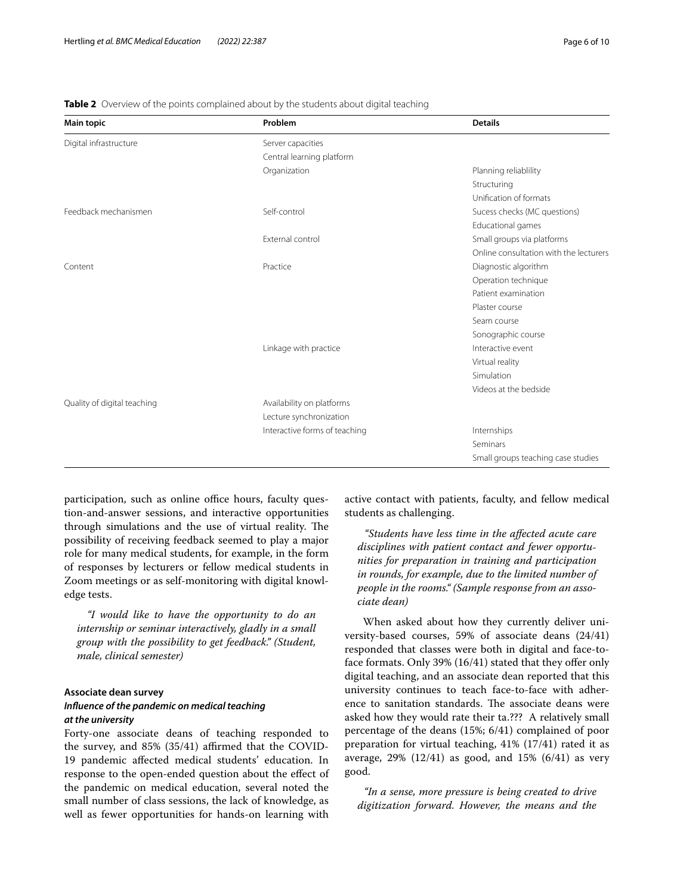| <b>Main topic</b>           | Problem                       | <b>Details</b>                         |
|-----------------------------|-------------------------------|----------------------------------------|
| Digital infrastructure      | Server capacities             |                                        |
|                             | Central learning platform     |                                        |
|                             | Organization                  | Planning reliablility                  |
|                             |                               | Structuring                            |
|                             |                               | Unification of formats                 |
| Feedback mechanismen        | Self-control                  | Sucess checks (MC questions)           |
|                             |                               | Educational games                      |
|                             | External control              | Small groups via platforms             |
|                             |                               | Online consultation with the lecturers |
| Content                     | Practice                      | Diagnostic algorithm                   |
|                             |                               | Operation technique                    |
|                             |                               | Patient examination                    |
|                             |                               | Plaster course                         |
|                             |                               | Seam course                            |
|                             |                               | Sonographic course                     |
|                             | Linkage with practice         | Interactive event                      |
|                             |                               | Virtual reality                        |
|                             |                               | Simulation                             |
|                             |                               | Videos at the bedside                  |
| Quality of digital teaching | Availability on platforms     |                                        |
|                             | Lecture synchronization       |                                        |
|                             | Interactive forms of teaching | Internships                            |
|                             |                               | Seminars                               |
|                             |                               | Small groups teaching case studies     |

<span id="page-5-0"></span>**Table 2** Overview of the points complained about by the students about digital teaching

participation, such as online office hours, faculty question-and-answer sessions, and interactive opportunities through simulations and the use of virtual reality. The possibility of receiving feedback seemed to play a major role for many medical students, for example, in the form of responses by lecturers or fellow medical students in Zoom meetings or as self-monitoring with digital knowledge tests.

 *"I would like to have the opportunity to do an internship or seminar interactively, gladly in a small group with the possibility to get feedback." (Student, male, clinical semester)*

#### **Associate dean survey** *Infuence of the pandemic on medical teaching at the university*

Forty-one associate deans of teaching responded to the survey, and 85% (35/41) affirmed that the COVID-19 pandemic afected medical students' education. In response to the open-ended question about the efect of the pandemic on medical education, several noted the small number of class sessions, the lack of knowledge, as well as fewer opportunities for hands-on learning with

active contact with patients, faculty, and fellow medical students as challenging.

 *"Students have less time in the afected acute care disciplines with patient contact and fewer opportunities for preparation in training and participation in rounds, for example, due to the limited number of people in the rooms." (Sample response from an associate dean)*

 When asked about how they currently deliver university-based courses, 59% of associate deans (24/41) responded that classes were both in digital and face-toface formats. Only 39% (16/41) stated that they offer only digital teaching, and an associate dean reported that this university continues to teach face-to-face with adherence to sanitation standards. The associate deans were asked how they would rate their ta.??? A relatively small percentage of the deans (15%; 6/41) complained of poor preparation for virtual teaching, 41% (17/41) rated it as average, 29% (12/41) as good, and 15% (6/41) as very good.

 *"In a sense, more pressure is being created to drive digitization forward. However, the means and the*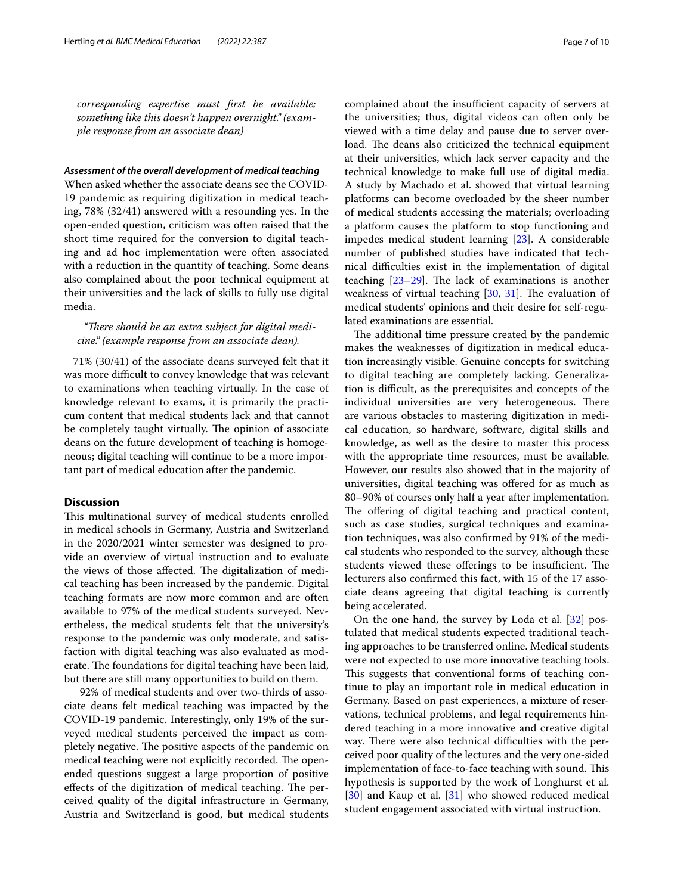*corresponding expertise must frst be available; something like this doesn't happen overnight." (example response from an associate dean)*

#### *Assessment of the overall development of medical teaching*

When asked whether the associate deans see the COVID-19 pandemic as requiring digitization in medical teaching, 78% (32/41) answered with a resounding yes. In the open-ended question, criticism was often raised that the short time required for the conversion to digital teaching and ad hoc implementation were often associated with a reduction in the quantity of teaching. Some deans also complained about the poor technical equipment at their universities and the lack of skills to fully use digital media.

"There should be an extra subject for digital medi*cine." (example response from an associate dean).*

71% (30/41) of the associate deans surveyed felt that it was more difficult to convey knowledge that was relevant to examinations when teaching virtually. In the case of knowledge relevant to exams, it is primarily the practicum content that medical students lack and that cannot be completely taught virtually. The opinion of associate deans on the future development of teaching is homogeneous; digital teaching will continue to be a more important part of medical education after the pandemic.

#### **Discussion**

This multinational survey of medical students enrolled in medical schools in Germany, Austria and Switzerland in the 2020/2021 winter semester was designed to provide an overview of virtual instruction and to evaluate the views of those affected. The digitalization of medical teaching has been increased by the pandemic. Digital teaching formats are now more common and are often available to 97% of the medical students surveyed. Nevertheless, the medical students felt that the university's response to the pandemic was only moderate, and satisfaction with digital teaching was also evaluated as moderate. The foundations for digital teaching have been laid, but there are still many opportunities to build on them.

 92% of medical students and over two-thirds of associate deans felt medical teaching was impacted by the COVID-19 pandemic. Interestingly, only 19% of the surveyed medical students perceived the impact as completely negative. The positive aspects of the pandemic on medical teaching were not explicitly recorded. The openended questions suggest a large proportion of positive effects of the digitization of medical teaching. The perceived quality of the digital infrastructure in Germany, Austria and Switzerland is good, but medical students complained about the insufficient capacity of servers at the universities; thus, digital videos can often only be viewed with a time delay and pause due to server overload. The deans also criticized the technical equipment at their universities, which lack server capacity and the technical knowledge to make full use of digital media. A study by Machado et al. showed that virtual learning platforms can become overloaded by the sheer number of medical students accessing the materials; overloading a platform causes the platform to stop functioning and impedes medical student learning [\[23](#page-8-17)]. A considerable number of published studies have indicated that technical difculties exist in the implementation of digital teaching  $[23-29]$  $[23-29]$ . The lack of examinations is another weakness of virtual teaching  $[30, 31]$  $[30, 31]$  $[30, 31]$  $[30, 31]$  $[30, 31]$ . The evaluation of medical students' opinions and their desire for self-regulated examinations are essential.

The additional time pressure created by the pandemic makes the weaknesses of digitization in medical education increasingly visible. Genuine concepts for switching to digital teaching are completely lacking. Generalization is difcult, as the prerequisites and concepts of the individual universities are very heterogeneous. There are various obstacles to mastering digitization in medical education, so hardware, software, digital skills and knowledge, as well as the desire to master this process with the appropriate time resources, must be available. However, our results also showed that in the majority of universities, digital teaching was ofered for as much as 80–90% of courses only half a year after implementation. The offering of digital teaching and practical content, such as case studies, surgical techniques and examination techniques, was also confrmed by 91% of the medical students who responded to the survey, although these students viewed these offerings to be insufficient. The lecturers also confrmed this fact, with 15 of the 17 associate deans agreeing that digital teaching is currently being accelerated.

On the one hand, the survey by Loda et al. [[32\]](#page-9-0) postulated that medical students expected traditional teaching approaches to be transferred online. Medical students were not expected to use more innovative teaching tools. This suggests that conventional forms of teaching continue to play an important role in medical education in Germany. Based on past experiences, a mixture of reservations, technical problems, and legal requirements hindered teaching in a more innovative and creative digital way. There were also technical difficulties with the perceived poor quality of the lectures and the very one-sided implementation of face-to-face teaching with sound. This hypothesis is supported by the work of Longhurst et al. [[30\]](#page-8-19) and Kaup et al. [[31](#page-8-20)] who showed reduced medical student engagement associated with virtual instruction.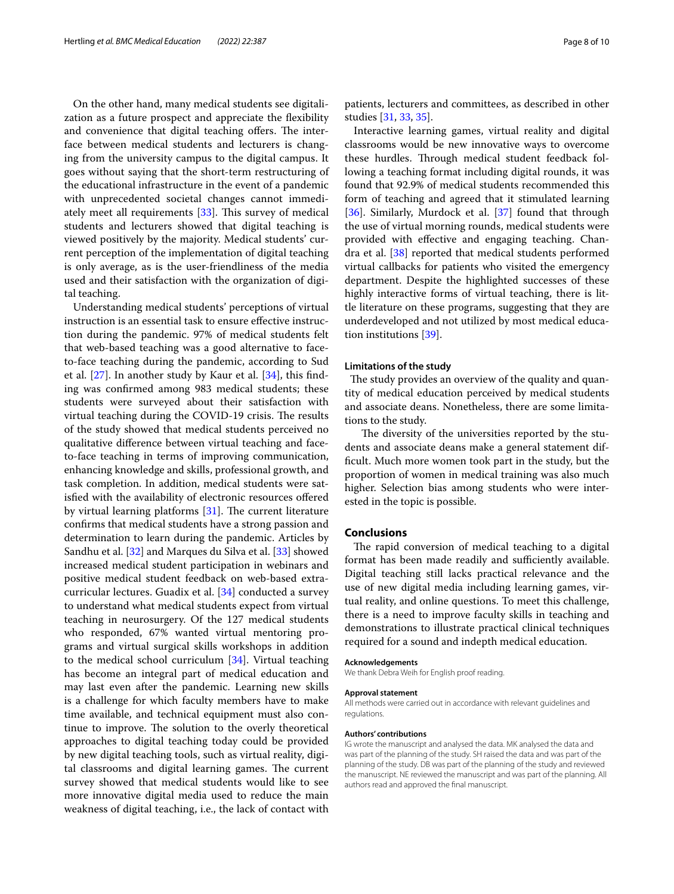On the other hand, many medical students see digitalization as a future prospect and appreciate the fexibility and convenience that digital teaching offers. The interface between medical students and lecturers is changing from the university campus to the digital campus. It goes without saying that the short-term restructuring of the educational infrastructure in the event of a pandemic with unprecedented societal changes cannot immediately meet all requirements  $[33]$  $[33]$ . This survey of medical students and lecturers showed that digital teaching is viewed positively by the majority. Medical students' current perception of the implementation of digital teaching is only average, as is the user-friendliness of the media used and their satisfaction with the organization of digital teaching.

Understanding medical students' perceptions of virtual instruction is an essential task to ensure efective instruction during the pandemic. 97% of medical students felt that web-based teaching was a good alternative to faceto-face teaching during the pandemic, according to Sud et al. [[27\]](#page-8-21). In another study by Kaur et al. [[34](#page-9-2)], this fnding was confrmed among 983 medical students; these students were surveyed about their satisfaction with virtual teaching during the COVID-19 crisis. The results of the study showed that medical students perceived no qualitative diference between virtual teaching and faceto-face teaching in terms of improving communication, enhancing knowledge and skills, professional growth, and task completion. In addition, medical students were satisfied with the availability of electronic resources offered by virtual learning platforms  $[31]$  $[31]$ . The current literature confrms that medical students have a strong passion and determination to learn during the pandemic. Articles by Sandhu et al. [\[32](#page-9-0)] and Marques du Silva et al. [\[33](#page-9-1)] showed increased medical student participation in webinars and positive medical student feedback on web-based extracurricular lectures. Guadix et al. [\[34](#page-9-2)] conducted a survey to understand what medical students expect from virtual teaching in neurosurgery. Of the 127 medical students who responded, 67% wanted virtual mentoring programs and virtual surgical skills workshops in addition to the medical school curriculum [[34\]](#page-9-2). Virtual teaching has become an integral part of medical education and may last even after the pandemic. Learning new skills is a challenge for which faculty members have to make time available, and technical equipment must also continue to improve. The solution to the overly theoretical approaches to digital teaching today could be provided by new digital teaching tools, such as virtual reality, digital classrooms and digital learning games. The current survey showed that medical students would like to see more innovative digital media used to reduce the main weakness of digital teaching, i.e., the lack of contact with patients, lecturers and committees, as described in other studies [[31,](#page-8-20) [33,](#page-9-1) [35](#page-9-3)].

Interactive learning games, virtual reality and digital classrooms would be new innovative ways to overcome these hurdles. Through medical student feedback following a teaching format including digital rounds, it was found that 92.9% of medical students recommended this form of teaching and agreed that it stimulated learning [[36\]](#page-9-4). Similarly, Murdock et al. [[37\]](#page-9-5) found that through the use of virtual morning rounds, medical students were provided with efective and engaging teaching. Chandra et al. [[38\]](#page-9-6) reported that medical students performed virtual callbacks for patients who visited the emergency department. Despite the highlighted successes of these highly interactive forms of virtual teaching, there is little literature on these programs, suggesting that they are underdeveloped and not utilized by most medical education institutions [[39](#page-9-7)].

#### **Limitations of the study**

The study provides an overview of the quality and quantity of medical education perceived by medical students and associate deans. Nonetheless, there are some limitations to the study.

The diversity of the universities reported by the students and associate deans make a general statement diffcult. Much more women took part in the study, but the proportion of women in medical training was also much higher. Selection bias among students who were interested in the topic is possible.

#### **Conclusions**

The rapid conversion of medical teaching to a digital format has been made readily and sufficiently available. Digital teaching still lacks practical relevance and the use of new digital media including learning games, virtual reality, and online questions. To meet this challenge, there is a need to improve faculty skills in teaching and demonstrations to illustrate practical clinical techniques required for a sound and indepth medical education.

#### **Acknowledgements**

We thank Debra Weih for English proof reading.

#### **Approval statement**

All methods were carried out in accordance with relevant guidelines and regulations.

#### **Authors' contributions**

IG wrote the manuscript and analysed the data. MK analysed the data and was part of the planning of the study. SH raised the data and was part of the planning of the study. DB was part of the planning of the study and reviewed the manuscript. NE reviewed the manuscript and was part of the planning. All authors read and approved the fnal manuscript.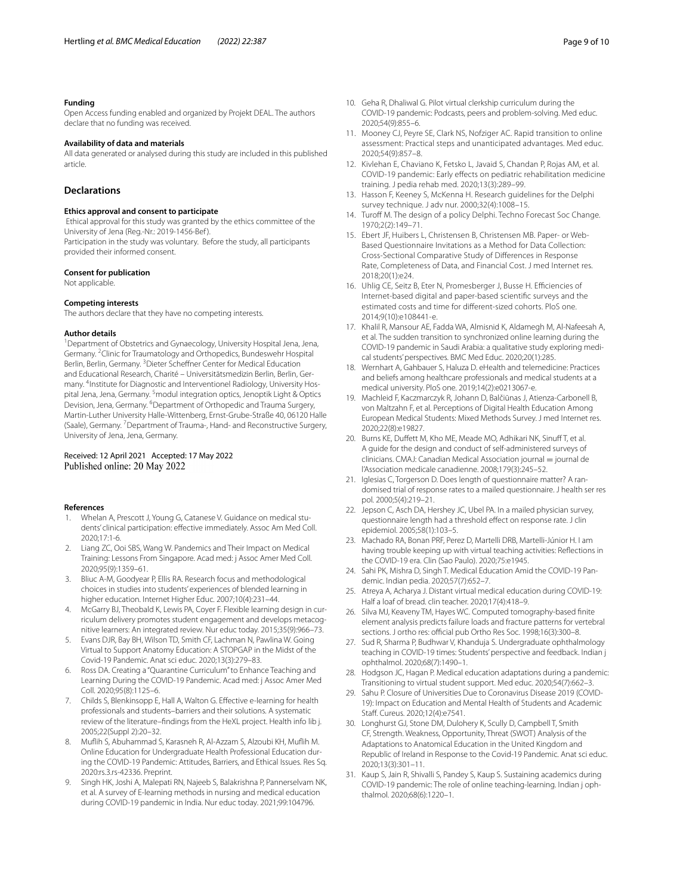#### **Funding**

Open Access funding enabled and organized by Projekt DEAL. The authors declare that no funding was received.

#### **Availability of data and materials**

All data generated or analysed during this study are included in this published article.

#### **Declarations**

#### **Ethics approval and consent to participate**

 Ethical approval for this study was granted by the ethics committee of the University of Jena (Reg.-Nr.: 2019-1456-Bef ). Participation in the study was voluntary. Before the study, all participants provided their informed consent.

#### **Consent for publication**

Not applicable.

#### **Competing interests**

The authors declare that they have no competing interests.

#### **Author details**

<sup>1</sup> Department of Obstetrics and Gynaecology, University Hospital Jena, Jena, Germany. <sup>2</sup> Clinic for Traumatology and Orthopedics, Bundeswehr Hospital Berlin, Berlin, Germany. <sup>3</sup> Dieter Scheffner Center for Medical Education and Educational Research, Charité – Universitätsmedizin Berlin, Berlin, Germany. 4 Institute for Diagnostic and Interventionel Radiology, University Hospital Jena, Jena, Germany. <sup>5</sup>modul integration optics, Jenoptik Light & Optics Devision, Jena, Germany. <sup>6</sup>Department of Orthopedic and Trauma Surgery, Martin-Luther University Halle-Wittenberg, Ernst-Grube-Straße 40, 06120 Halle (Saale), Germany. <sup>7</sup> Department of Trauma-, Hand- and Reconstructive Surgery, University of Jena, Jena, Germany.

# Received: 12 April 2021 Accepted: 17 May 2022<br>Published online: 20 May 2022

#### **References**

- <span id="page-8-0"></span>1. Whelan A, Prescott J, Young G, Catanese V. Guidance on medical students' clinical participation: effective immediately. Assoc Am Med Coll. 2020;17:1-6.
- <span id="page-8-1"></span>2. Liang ZC, Ooi SBS, Wang W. Pandemics and Their Impact on Medical Training: Lessons From Singapore. Acad med: j Assoc Amer Med Coll. 2020;95(9):1359–61.
- 3. Bliuc A-M, Goodyear P, Ellis RA. Research focus and methodological choices in studies into students' experiences of blended learning in higher education. Internet Higher Educ. 2007;10(4):231–44.
- 4. McGarry BJ, Theobald K, Lewis PA, Coyer F. Flexible learning design in curriculum delivery promotes student engagement and develops metacognitive learners: An integrated review. Nur educ today. 2015;35(9):966–73.
- <span id="page-8-2"></span>5. Evans DJR, Bay BH, Wilson TD, Smith CF, Lachman N, Pawlina W. Going Virtual to Support Anatomy Education: A STOPGAP in the Midst of the Covid-19 Pandemic. Anat sci educ. 2020;13(3):279–83.
- <span id="page-8-3"></span>6. Ross DA. Creating a "Quarantine Curriculum" to Enhance Teaching and Learning During the COVID-19 Pandemic. Acad med: j Assoc Amer Med Coll. 2020;95(8):1125–6.
- <span id="page-8-4"></span>7. Childs S, Blenkinsopp E, Hall A, Walton G. Efective e-learning for health professionals and students–barriers and their solutions. A systematic review of the literature–fndings from the HeXL project. Health info lib j. 2005;22(Suppl 2):20–32.
- <span id="page-8-5"></span>8. Mufih S, Abuhammad S, Karasneh R, Al-Azzam S, Alzoubi KH, Mufih M. Online Education for Undergraduate Health Professional Education during the COVID-19 Pandemic: Attitudes, Barriers, and Ethical Issues. Res Sq. 2020:rs.3.rs-42336. Preprint.
- <span id="page-8-6"></span>9. Singh HK, Joshi A, Malepati RN, Najeeb S, Balakrishna P, Pannerselvam NK, et al. A survey of E-learning methods in nursing and medical education during COVID-19 pandemic in India. Nur educ today. 2021;99:104796.
- <span id="page-8-7"></span>10. Geha R, Dhaliwal G. Pilot virtual clerkship curriculum during the COVID-19 pandemic: Podcasts, peers and problem-solving. Med educ. 2020;54(9):855–6.
- 11. Mooney CJ, Peyre SE, Clark NS, Nofziger AC. Rapid transition to online assessment: Practical steps and unanticipated advantages. Med educ. 2020;54(9):857–8.
- <span id="page-8-8"></span>12. Kivlehan E, Chaviano K, Fetsko L, Javaid S, Chandan P, Rojas AM, et al. COVID-19 pandemic: Early efects on pediatric rehabilitation medicine training. J pedia rehab med. 2020;13(3):289–99.
- <span id="page-8-9"></span>13. Hasson F, Keeney S, McKenna H. Research guidelines for the Delphi survey technique. J adv nur. 2000;32(4):1008–15.
- 14. Turoff M. The design of a policy Delphi. Techno Forecast Soc Change. 1970;2(2):149–71.
- <span id="page-8-10"></span>15. Ebert JF, Huibers L, Christensen B, Christensen MB. Paper- or Web-Based Questionnaire Invitations as a Method for Data Collection: Cross-Sectional Comparative Study of Diferences in Response Rate, Completeness of Data, and Financial Cost. J med Internet res. 2018;20(1):e24.
- <span id="page-8-11"></span>16. Uhlig CE, Seitz B, Eter N, Promesberger J, Busse H. Efficiencies of Internet-based digital and paper-based scientifc surveys and the estimated costs and time for diferent-sized cohorts. PloS one. 2014;9(10):e108441-e.
- <span id="page-8-12"></span>17. Khalil R, Mansour AE, Fadda WA, Almisnid K, Aldamegh M, Al-Nafeesah A, et al. The sudden transition to synchronized online learning during the COVID-19 pandemic in Saudi Arabia: a qualitative study exploring medical students' perspectives. BMC Med Educ. 2020;20(1):285.
- 18. Wernhart A, Gahbauer S, Haluza D. eHealth and telemedicine: Practices and beliefs among healthcare professionals and medical students at a medical university. PloS one. 2019;14(2):e0213067-e.
- <span id="page-8-13"></span>19. Machleid F, Kaczmarczyk R, Johann D, Balčiūnas J, Atienza-Carbonell B, von Maltzahn F, et al. Perceptions of Digital Health Education Among European Medical Students: Mixed Methods Survey. J med Internet res. 2020;22(8):e19827.
- <span id="page-8-14"></span>20. Burns KE, Duffett M, Kho ME, Meade MO, Adhikari NK, Sinuff T, et al. A guide for the design and conduct of self-administered surveys of clinicians. CMAJ: Canadian Medical Association journal = journal de l'Association medicale canadienne. 2008;179(3):245–52.
- <span id="page-8-15"></span>21. Iglesias C, Torgerson D. Does length of questionnaire matter? A randomised trial of response rates to a mailed questionnaire. J health ser res pol. 2000;5(4):219–21.
- <span id="page-8-16"></span>22. Jepson C, Asch DA, Hershey JC, Ubel PA. In a mailed physician survey, questionnaire length had a threshold efect on response rate. J clin epidemiol. 2005;58(1):103–5.
- <span id="page-8-17"></span>23. Machado RA, Bonan PRF, Perez D, Martelli DRB, Martelli-Júnior H. I am having trouble keeping up with virtual teaching activities: Refections in the COVID-19 era. Clin (Sao Paulo). 2020;75:e1945.
- 24. Sahi PK, Mishra D, Singh T. Medical Education Amid the COVID-19 Pandemic. Indian pedia. 2020;57(7):652–7.
- 25. Atreya A, Acharya J. Distant virtual medical education during COVID-19: Half a loaf of bread. clin teacher. 2020;17(4):418–9.
- 26. Silva MJ, Keaveny TM, Hayes WC. Computed tomography-based fnite element analysis predicts failure loads and fracture patterns for vertebral sections. J ortho res: official pub Ortho Res Soc. 1998;16(3):300-8.
- <span id="page-8-21"></span>27. Sud R, Sharma P, Budhwar V, Khanduja S. Undergraduate ophthalmology teaching in COVID-19 times: Students' perspective and feedback. Indian j ophthalmol. 2020;68(7):1490–1.
- 28. Hodgson JC, Hagan P. Medical education adaptations during a pandemic: Transitioning to virtual student support. Med educ. 2020;54(7):662–3.
- <span id="page-8-18"></span>29. Sahu P. Closure of Universities Due to Coronavirus Disease 2019 (COVID-19): Impact on Education and Mental Health of Students and Academic Staf. Cureus. 2020;12(4):e7541.
- <span id="page-8-19"></span>30. Longhurst GJ, Stone DM, Dulohery K, Scully D, Campbell T, Smith CF, Strength. Weakness, Opportunity, Threat (SWOT) Analysis of the Adaptations to Anatomical Education in the United Kingdom and Republic of Ireland in Response to the Covid-19 Pandemic. Anat sci educ. 2020;13(3):301–11.
- <span id="page-8-20"></span>31. Kaup S, Jain R, Shivalli S, Pandey S, Kaup S. Sustaining academics during COVID-19 pandemic: The role of online teaching-learning. Indian j ophthalmol. 2020;68(6):1220–1.